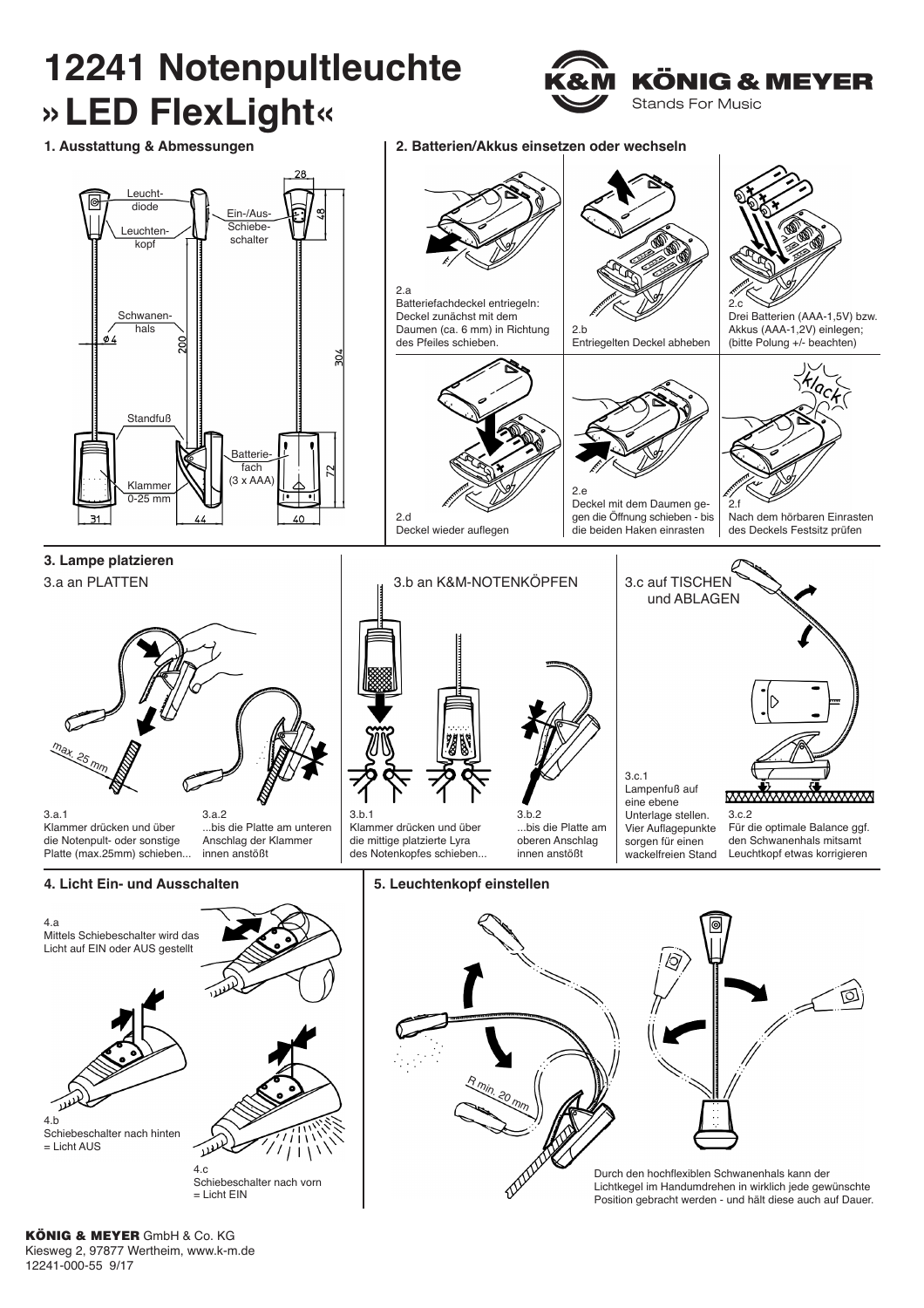

KÖNIG & MEYER GmbH & Co. KG Kiesweg 2, 97877 Wertheim, www.k-m.de 12241-000-55 9/17